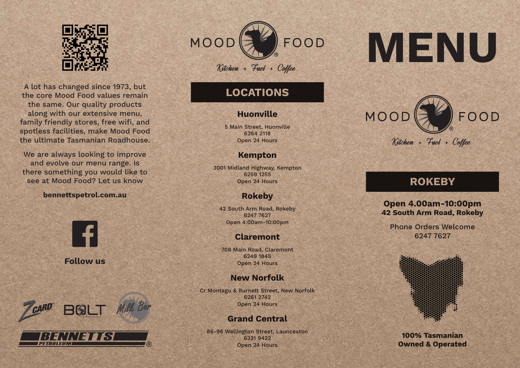

A lot has changed since 1973, but the core Mood Food values remain the same. Our quality products along with our extensive menu, family friendly stores, free wifi, and spotless facilities, make Mood Food the ultimate Tasmanian Roadhouse.

We are always looking to improve and evolve our menu range. Is there something you would like to see at Mood Food? Let us know

#### **bennettspetrol.com.au**



**Follow us**



PETROLEUM



# **LOCATIONS**

## **Huonville**

5 Main Street, Huonville 6264 2118 Open 24 Hours

# **Kempton**

3001 Midland Highway, Kempton 6259 1255 Open 24 Hours

# **Rokeby**

42 South Arm Road, Rokeby 6247 7627 Open 4:00am-10:00pm

# **Claremont**

708 Main Road, Claremont 6249 1845 Open 24 Hours

# **New Norfolk**

Cr Montagu & Burnett Street, New Norfolk 6261 2742 Open 24 Hours

# **Grand Central**

86-96 Wellington Street, Launceston 6331 9422 Open 24 Hours

# **MENU**



# **ROKEBY**

## **Open 4.00am-10:00pm 42 South Arm Road, Rokeby**

Phone Orders Welcome 6247 7627



**100% Tasmanian Owned & Operated**